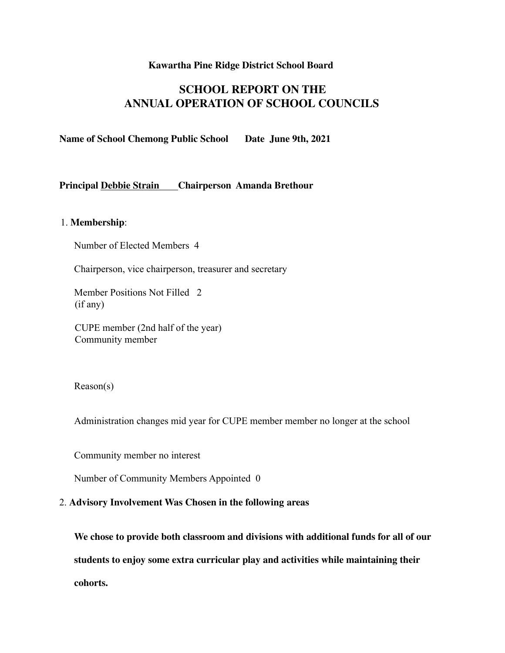#### **Kawartha Pine Ridge District School Board**

# **SCHOOL REPORT ON THE ANNUAL OPERATION OF SCHOOL COUNCILS**

**Name of School Chemong Public School Date June 9th, 2021**

### **Principal Debbie Strain Chairperson Amanda Brethour**

## 1. **Membership**:

Number of Elected Members 4

Chairperson, vice chairperson, treasurer and secretary

Member Positions Not Filled 2 (if any)

CUPE member (2nd half of the year) Community member

Reason(s)

Administration changes mid year for CUPE member member no longer at the school

Community member no interest

Number of Community Members Appointed 0

#### 2. **Advisory Involvement Was Chosen in the following areas**

**We chose to provide both classroom and divisions with additional funds for all of our students to enjoy some extra curricular play and activities while maintaining their cohorts.**